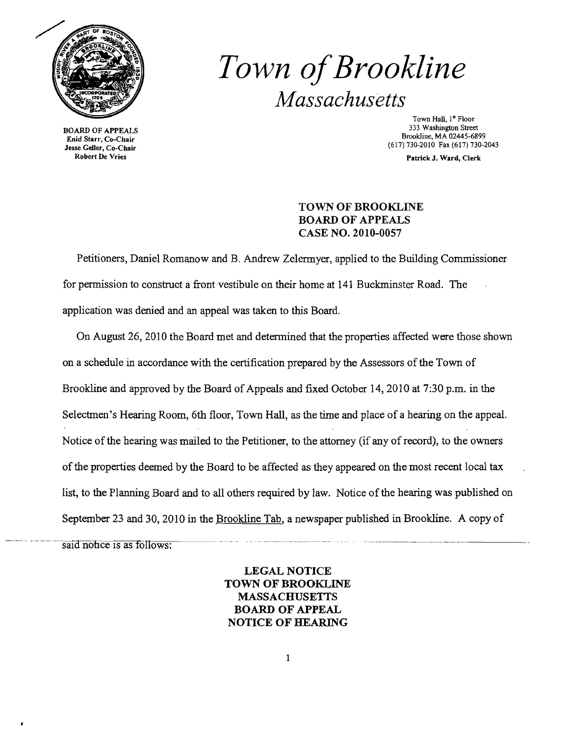

BOARD OF APPEALS Enid Starr, Co-Chair Jesse Geller, Co-Chair Robert De Vries

# *Town ofBrookline Massachusetts*

Town Hall, 1st Floor 333 Washington Street Brookline, MA 02445-6899 (617)730-2010 Fax (617)730-2043

Patrick J. Ward, Clerk

## TOWN OF BROOKLINE BOARD OF APPEALS CASE NO. 2010-0057

Petitioners, Daniel Romanow and B. Andrew Zelermyer, applied to the Building Commissioner for permission to construct a front vestibule on their home at 141 Buckminster Road. The application was denied and an appeal was taken to this Board.

On August 26, 2010 the Board met and detennined that the properties affected were those shown on a schedule in accordance with the certification prepared by the Assessors of the Town of Brookline and approved by the Board of Appeals and fixed October 14, 2010 at 7:30 p.m. in the Selectmen's Hearing Room, 6th floor, Town Hall, as the time and place of a hearing on the appeal. Notice of the hearing was mailed to the Petitioner, to the attorney (if any of record), to the owners of the properties deemed by the Board to be affected as they appeared on the most recent local tax list, to the Planning Board and to all others required by law. Notice of the hearing was published on September 23 and 30, 2010 in the <u>Brookline Tab</u>, a newspaper published in Brookline. A copy of said notice is as follows:

> LEGAL NOTICE TOWN OF BROOKLINE **MASSACHUSETTS** BOARD OF APPEAL NOTICE OF HEARING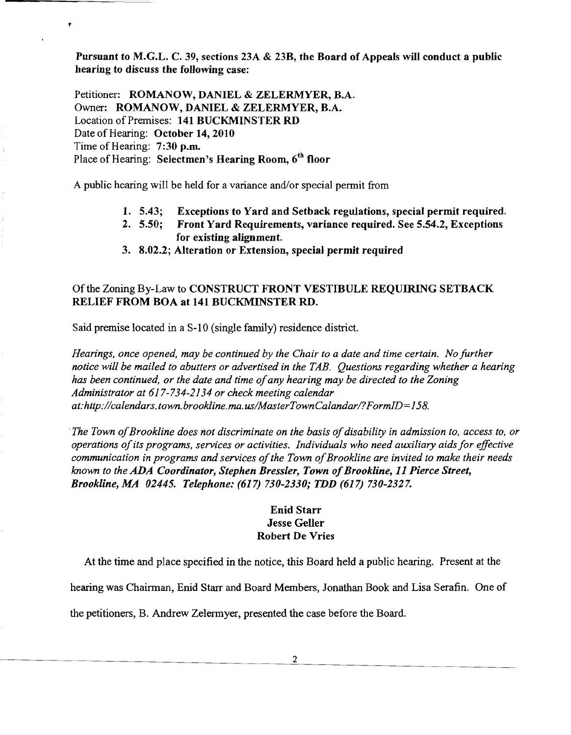Pursuant to M.G.L. C. 39, sections 23A & 23B, the Board of Appeals will conduct a public hearing to discuss the following case:

Petitioner: ROMANOW, DANIEL & ZELERMYER, B.A. Owner: ROMANOW, DANIEL & ZELERMYER, B.A. Location of Premises: 141 BUCKMINSTER RD Date of Hearing: October 14, 2010 Time of Hearing: 7:30 p.m. Place of Hearing: Selectmen's Hearing Room,  $6<sup>th</sup>$  floor

 $\mathbf{r}$ 

A public hearing will be held for a variance and/or special permit from

- 1. 5.43; Exceptions to Yard and Setback regulations, special permit required.
- 2. 5.50; Front Yard Requirements, variance required. See 5.54.2, Exceptions for existing alignment.
- 3. 8.02.2; Alteration or Extension, special permit required

## Of the Zoning By-Law to CONSTRUCT FRONT VESTIBULE REQUIRING SETBACK RELIEF FROM BOA at 141 BUCKMINSTER RD.

Said premise located in a S-10 (single family) residence district.

*Hearings, once opened, may be continued by the Chair to a date and time certain. No further notice will be mailed to abutters or advertised in the TAB. Questions regarding whether a hearing has been continued, or the date and time ofany hearing may be directed to the Zoning Administrator at* 6*J* 7-734-2*J*34 *or check meeting calendar at:http://calendars.town.brookline.ma.usIMasterTownCalandari?FormID=J58.* 

*The Town of Brookline does not discriminate on the basis of disability in admission to, access to, or operations ofits programs, services or activities. Individuals who need auxiliary aids for effective communication in programs and services ofthe Town ofBrookline are invited to make their needs known to the ADA Coordinator, Stephen Bressler, Town of Brookline, 11 Pierce Street, Brookline, MA 02445. Telephone:* (617) *730-2330; TDD* (617) *730-2327.* 

### Enid Starr Jesse Geller Robert De Vries

At the time and place specified in the notice, this Board held a public hearing. Present at the

hearing was Chairman, Enid Starr and Board Members, Jonathan Book and Lisa Serafin. One of

the petitioners, B. Andrew Zelermyer, presented the case before the Board.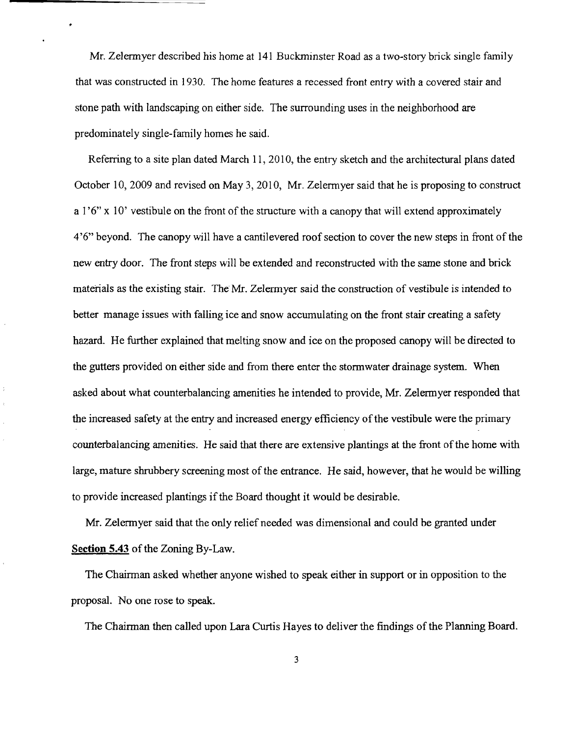Mr. Zelermyer described his home at 141 Buckminster Road as a two-story brick single family that was constructed in 1930. The home features a recessed front entry with a covered stair and stone path with landscaping on either side. The surrounding uses in the neighborhood are predominately single-family homes he said.

Referring to a site plan dated March 11, 2010, the entry sketch and the architectural plans dated October 10, 2009 and revised on May 3, 2010, Mr. Zelermyer said that he is proposing to construct a  $1'6''$  x  $10'$  vestibule on the front of the structure with a canopy that will extend approximately 4'6" beyond. The canopy will have a cantilevered roof section to cover the new steps in front of the new entry door. The front steps will be extended and reconstructed with the same stone and brick materials as the existing stair. The Mr. Zelennyer said the construction of vestibule is intended to better manage issues with falling ice and snow accumulating on the front stair creating a safety hazard. He further explained that melting snow and ice on the proposed canopy will be directed to the gutters provided on either side and from there enter the stormwater drainage system. When asked about what counterbalancing amenities he intended to provide, Mr. Zelermyer responded that the increased safety at the entry and increased energy efficiency of the vestibule were the primary counterbalancing amenities. He said that there are extensive plantings at the front of the home with large, mature shrubbery screening most of the entrance. He said, however, that he would be willing to provide increased plantings if the Board thought it would be desirable.

Mr. Zelermyer said that the only relief needed was dimensional and could be granted under **Section 5.43** of the Zoning By-Law.

The Chairman asked whether anyone wished to speak either in support or in opposition to the proposal. No one rose to speak.

The Chairman then called upon Lara Curtis Hayes to deliver the findings of the Planning Board.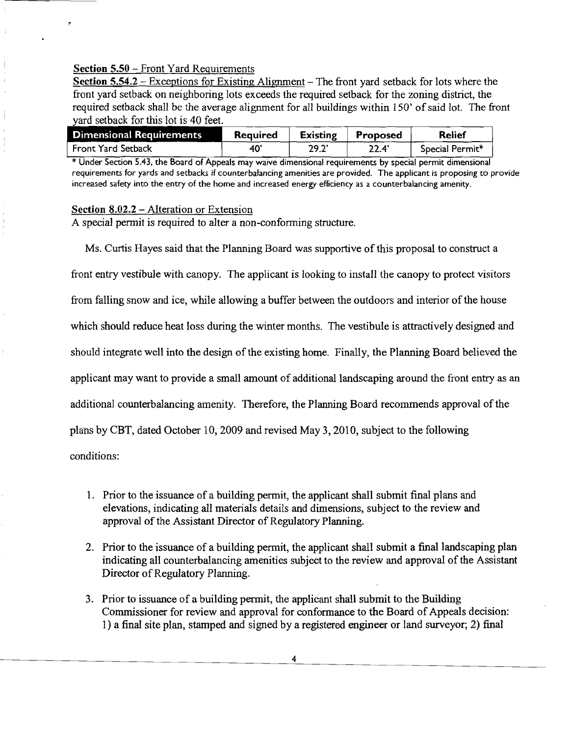#### Section 5.50 - Front Yard Requirements

Section  $5.54.2$  – Exceptions for Existing Alignment – The front yard setback for lots where the front yard setback on neighboring lots exceeds the required setback for the zoning district, the required setback shall be the average alignment for all buildings within 150' of said lot. The front yard setback for this lot is 40 feet.

| yard setback for this lot is 40 feet. |          |                 |          |                 |
|---------------------------------------|----------|-----------------|----------|-----------------|
| <b>Dimensional Requirements</b>       | Required | <b>Existing</b> | Proposed | Relief          |
| Front Yard Setback                    | 40       | 29.2            | 22.4'    | Special Permit* |

\* Under Section 5.43, the Board of Appeals may waive dimensional requirements by special permit dimensional requirements for yards and setbacks if counterbalancing *amenities* are provided. The applicant is proposing to provide increased safety into the entry of the home and increased energy efficiency as a counterbalancing amenity.

#### Section 8.02.2 – Alteration or Extension

A special permit is required to alter a non-conforming structure.

Ms. Curtis Hayes said that the Planning Board was supportive of this proposal to construct a front entry vestibule with canopy. The applicant is looking to install the canopy to protect visitors from falling snow and ice, while allowing a buffer between the outdoors and interior of the house which should reduce heat loss during the winter months. The vestibule is attractively designed and should integrate well into the design of the existing horne. Finally, the Planning Board believed the applicant may want to provide a small amount of additional landscaping around the front entry as an additional counterbalancing amenity. Therefore, the Planning Board recommends approval of the plans by CBT, dated October 10, 2009 and revised May 3, 2010, subject to the following conditions:

- 1. Prior to the issuance of a building permit, the applicant shall submit final plans and elevations, indicating all materials details and dimensions, subject to the review and approval of the Assistant Director of Regulatory Planning.
- 2. Prior to the issuance of a building permit, the applicant shall submit a final landscaping plan indicating all counterbalancing amenities subject to the review and approval of the Assistant Director of Regulatory Planning.
- 3. Prior to issuance of a building permit, the applicant shall submit to the Building Commissioner for review and approval for conformance to the Board of Appeals decision: 1) a final site plan, stamped and signed by a registered engineer or land surveyor; 2) final

4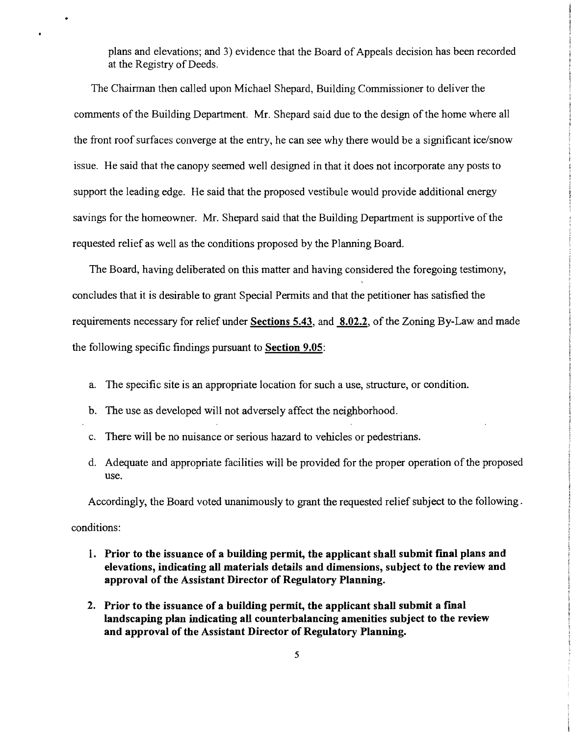plans and elevations; and 3) evidence that the Board of Appeals decision has been recorded at the Registry of Deeds.

The Chairman then called upon Michael Shepard, Building Commissioner to deliver the comments of the Building Department. Mr. Shepard said due to the design of the home where all the front roof surfaces converge at the entry, he can see why there would be a significant ice/snow issue. He said that the canopy seemed well designed in that it does not incorporate any posts to support the leading edge. He said that the proposed vestibule would provide additional energy savings for the homeowner. Mr. Shepard said that the Building Department is supportive of the requested relief as well as the conditions proposed by the Planning Board.

The Board, having deliberated on this matter and having considered the foregoing testimony, concludes that it is desirable to grant Special Permits and that the petitioner has satisfied the requirements necessary for relief under **Sections** 5.43, and 8.02.2, of the Zoning By-Law and made the following specific findings pursuant to **Section** 9.05:

- a. The specific site is an appropriate location for such a use, structure, or condition.
- b. The use as developed will not adversely affect the neighborhood.
- c. There will be no nuisance or serious hazard to vehicles or pedestrians.
- d. Adequate and appropriate facilities will be provided for the proper operation of the proposed use.

Accordingly, the Board voted unanimously to grant the requested relief subject to the following.

conditions:

- 1. Prior to the issuance of a building permit, the applicant shall submit final plans and **elevations, indicating all materials details and dimensions, subject to the review and approval of the Assistant Director of Regulatory Planning.**
- 2. Prior to the issuance of a building permit, the applicant shall submit a final **landscaping plan indicating all counterbalancing amenities subject to the review and approval of the Assistant Director of Regulatory Planning.**